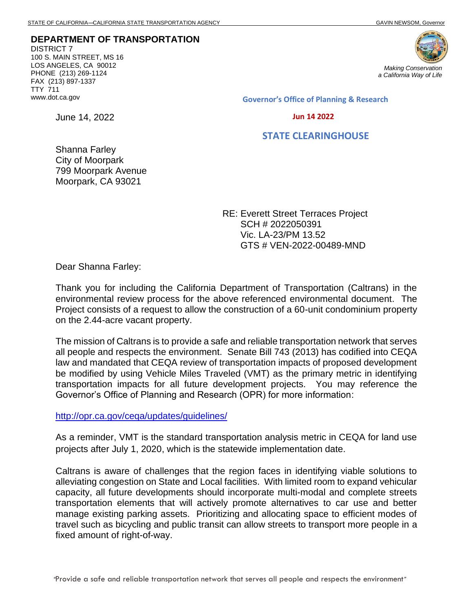**DEPARTMENT OF TRANSPORTATION** DISTRICT 7 100 S. MAIN STREET, MS 16 LOS ANGELES, CA 90012 PHONE (213) 269-1124 FAX (213) 897-1337 TTY 711 www.dot.ca.gov

June 14, 2022



**Governor's Office of Planning & Research**

 **Jun 14 2022**

## **STATE CLEARINGHOUSE**

Shanna Farley City of Moorpark 799 Moorpark Avenue Moorpark, CA 93021

> RE: Everett Street Terraces Project SCH # 2022050391 Vic. LA-23/PM 13.52 GTS # VEN-2022-00489-MND

Dear Shanna Farley:

Thank you for including the California Department of Transportation (Caltrans) in the environmental review process for the above referenced environmental document. The Project consists of a request to allow the construction of a 60-unit condominium property on the 2.44-acre vacant property.

The mission of Caltrans is to provide a safe and reliable transportation network that serves all people and respects the environment. Senate Bill 743 (2013) has codified into CEQA law and mandated that CEQA review of transportation impacts of proposed development be modified by using Vehicle Miles Traveled (VMT) as the primary metric in identifying transportation impacts for all future development projects. You may reference the Governor's Office of Planning and Research (OPR) for more information:

<http://opr.ca.gov/ceqa/updates/guidelines/>

As a reminder, VMT is the standard transportation analysis metric in CEQA for land use projects after July 1, 2020, which is the statewide implementation date.

Caltrans is aware of challenges that the region faces in identifying viable solutions to alleviating congestion on State and Local facilities. With limited room to expand vehicular capacity, all future developments should incorporate multi-modal and complete streets transportation elements that will actively promote alternatives to car use and better manage existing parking assets. Prioritizing and allocating space to efficient modes of travel such as bicycling and public transit can allow streets to transport more people in a fixed amount of right-of-way.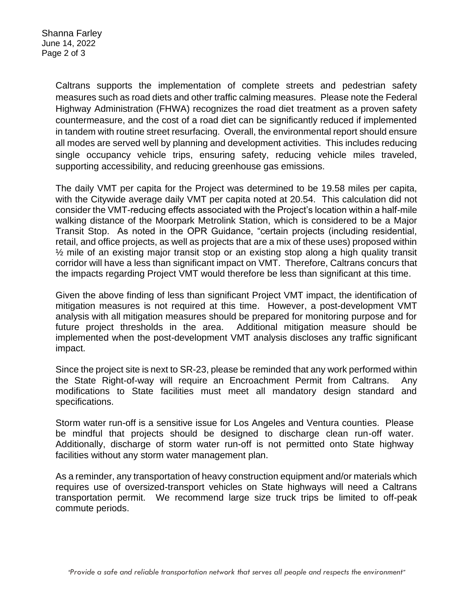Caltrans supports the implementation of complete streets and pedestrian safety measures such as road diets and other traffic calming measures. Please note the Federal Highway Administration (FHWA) recognizes the road diet treatment as a proven safety countermeasure, and the cost of a road diet can be significantly reduced if implemented in tandem with routine street resurfacing. Overall, the environmental report should ensure all modes are served well by planning and development activities. This includes reducing single occupancy vehicle trips, ensuring safety, reducing vehicle miles traveled, supporting accessibility, and reducing greenhouse gas emissions.

The daily VMT per capita for the Project was determined to be 19.58 miles per capita, with the Citywide average daily VMT per capita noted at 20.54. This calculation did not consider the VMT-reducing effects associated with the Project's location within a half-mile walking distance of the Moorpark Metrolink Station, which is considered to be a Major Transit Stop. As noted in the OPR Guidance, "certain projects (including residential, retail, and office projects, as well as projects that are a mix of these uses) proposed within ½ mile of an existing major transit stop or an existing stop along a high quality transit corridor will have a less than significant impact on VMT. Therefore, Caltrans concurs that the impacts regarding Project VMT would therefore be less than significant at this time.

Given the above finding of less than significant Project VMT impact, the identification of mitigation measures is not required at this time. However, a post-development VMT analysis with all mitigation measures should be prepared for monitoring purpose and for future project thresholds in the area. Additional mitigation measure should be implemented when the post-development VMT analysis discloses any traffic significant impact.

Since the project site is next to SR-23, please be reminded that any work performed within the State Right-of-way will require an Encroachment Permit from Caltrans. Any modifications to State facilities must meet all mandatory design standard and specifications.

Storm water run-off is a sensitive issue for Los Angeles and Ventura counties. Please be mindful that projects should be designed to discharge clean run-off water. Additionally, discharge of storm water run-off is not permitted onto State highway facilities without any storm water management plan.

As a reminder, any transportation of heavy construction equipment and/or materials which requires use of oversized-transport vehicles on State highways will need a Caltrans transportation permit. We recommend large size truck trips be limited to off-peak commute periods.